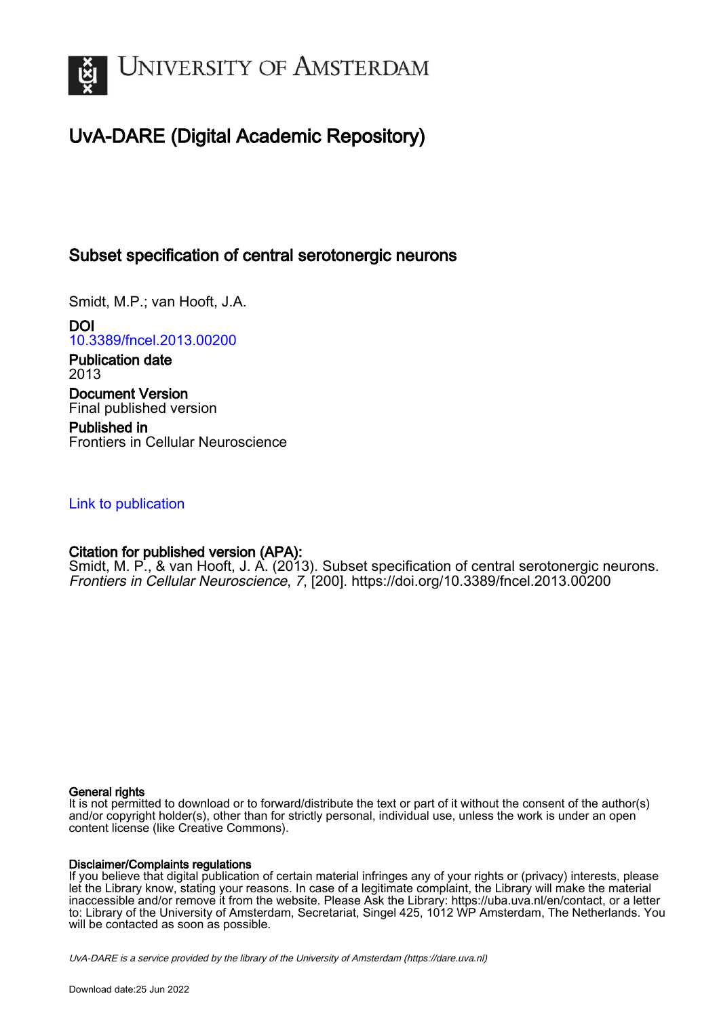

# UvA-DARE (Digital Academic Repository)

# Subset specification of central serotonergic neurons

Smidt, M.P.; van Hooft, J.A.

DOI [10.3389/fncel.2013.00200](https://doi.org/10.3389/fncel.2013.00200)

Publication date 2013 Document Version Final published version

Published in Frontiers in Cellular Neuroscience

## [Link to publication](https://dare.uva.nl/personal/pure/en/publications/subset-specification-of-central-serotonergic-neurons(748baa1a-264d-4ad1-8457-d4fc68daa52f).html)

## Citation for published version (APA):

Smidt, M. P., & van Hooft, J. A. (2013). Subset specification of central serotonergic neurons. Frontiers in Cellular Neuroscience, 7, [200]. <https://doi.org/10.3389/fncel.2013.00200>

## General rights

It is not permitted to download or to forward/distribute the text or part of it without the consent of the author(s) and/or copyright holder(s), other than for strictly personal, individual use, unless the work is under an open content license (like Creative Commons).

## Disclaimer/Complaints regulations

If you believe that digital publication of certain material infringes any of your rights or (privacy) interests, please let the Library know, stating your reasons. In case of a legitimate complaint, the Library will make the material inaccessible and/or remove it from the website. Please Ask the Library: https://uba.uva.nl/en/contact, or a letter to: Library of the University of Amsterdam, Secretariat, Singel 425, 1012 WP Amsterdam, The Netherlands. You will be contacted as soon as possible.

UvA-DARE is a service provided by the library of the University of Amsterdam (http*s*://dare.uva.nl)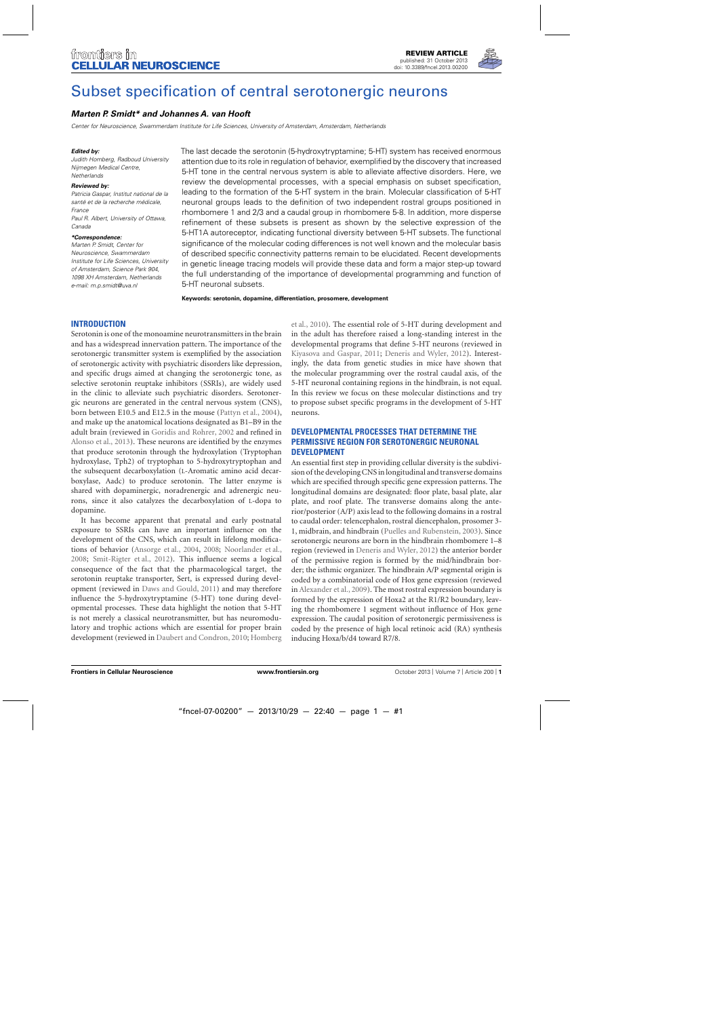

# [Subset specification of central serotonergic neurons](http://www.frontiersin.org/journal/10.3389/fncel.2013.00200/abstract)

## *[Marten P. Smidt\\*](http://www.frontiersin.org/people/u/2671) and [Johannes A. van Hooft](http://www.frontiersin.org/people/u/20237)*

Center for Neuroscience, Swammerdam Institute for Life Sciences, University of Amsterdam, Amsterdam, Netherlands

#### *Edited by:*

Judith Homberg, Radboud University Nijmegen Medical Centre, **Netherlands** 

#### *Reviewed by:*

Patricia Gaspar, Institut national de la santé et de la recherche médicale, France Paul R. Albert, University of Ottawa, Canada

#### *\*Correspondence:*

Marten P. Smidt, Center for Neuroscience, Swammerdam Institute for Life Sciences, University of Amsterdam, Science Park 904, 1098 XH Amsterdam, Netherlands e-mail: [m.p.smidt@uva.nl](mailto:m.p.smidt@uva.nl)

The last decade the serotonin (5-hydroxytryptamine; 5-HT) system has received enormous attention due to its role in regulation of behavior, exemplified by the discovery that increased 5-HT tone in the central nervous system is able to alleviate affective disorders. Here, we review the developmental processes, with a special emphasis on subset specification, leading to the formation of the 5-HT system in the brain. Molecular classification of 5-HT neuronal groups leads to the definition of two independent rostral groups positioned in rhombomere 1 and 2/3 and a caudal group in rhombomere 5-8. In addition, more disperse refinement of these subsets is present as shown by the selective expression of the 5-HT1A autoreceptor, indicating functional diversity between 5-HT subsets. The functional significance of the molecular coding differences is not well known and the molecular basis of described specific connectivity patterns remain to be elucidated. Recent developments in genetic lineage tracing models will provide these data and form a major step-up toward the full understanding of the importance of developmental programming and function of 5-HT neuronal subsets.

**Keywords: serotonin, dopamine, differentiation, prosomere, development**

## **INTRODUCTION**

Serotonin is one of the monoamine neurotransmitters in the brain and has a widespread innervation pattern. The importance of the serotonergic transmitter system is exemplified by the association of serotonergic activity with psychiatric disorders like depression, and specific drugs aimed at changing the serotonergic tone, as selective serotonin reuptake inhibitors (SSRIs), are widely used in the clinic to alleviate such psychiatric disorders. Serotonergic neurons are generated in the central nervous system (CNS), born between E10.5 and E12.5 in the mouse [\(Pattyn et al., 2004\)](#page-6-0), and make up the anatomical locations designated as B1–B9 in the adult brain (reviewed in [Goridis and Rohrer, 2002](#page-6-0) and refined in [Alonso et al., 2013](#page-6-0)). These neurons are identified by the enzymes that produce serotonin through the hydroxylation (Tryptophan hydroxylase, Tph2) of tryptophan to 5-hydroxytryptophan and the subsequent decarboxylation (L-Aromatic amino acid decarboxylase, Aadc) to produce serotonin. The latter enzyme is shared with dopaminergic, noradrenergic and adrenergic neurons, since it also catalyzes the decarboxylation of L-dopa to dopamine.

It has become apparent that prenatal and early postnatal exposure to SSRIs can have an important influence on the development of the CNS, which can result in lifelong modifications of behavior [\(Ansorge et al.](#page-6-0), [2004](#page-6-0), [2008;](#page-6-0) [Noorlander et al.](#page-6-0), [2008;](#page-6-0) [Smit-Rigter et al., 2012](#page-6-0)). This influence seems a logical consequence of the fact that the pharmacological target, the serotonin reuptake transporter, Sert, is expressed during development (reviewed in [Daws and Gould, 2011\)](#page-6-0) and may therefore influence the 5-hydroxytryptamine (5-HT) tone during developmental processes. These data highlight the notion that 5-HT is not merely a classical neurotransmitter, but has neuromodulatory and trophic actions which are essential for proper brain development (reviewed in [Daubert and Condron](#page-6-0), [2010;](#page-6-0) Homberg et al., [2010\)](#page-6-0). The essential role of 5-HT during development and in the adult has therefore raised a long-standing interest in the developmental programs that define 5-HT neurons (reviewed in [Kiyasova and Gaspar](#page-6-0), [2011](#page-6-0); [Deneris and Wyler](#page-6-0), [2012\)](#page-6-0). Interestingly, the data from genetic studies in mice have shown that the molecular programming over the rostral caudal axis, of the 5-HT neuronal containing regions in the hindbrain, is not equal. In this review we focus on these molecular distinctions and try to propose subset specific programs in the development of 5-HT neurons.

## **DEVELOPMENTAL PROCESSES THAT DETERMINE THE PERMISSIVE REGION FOR SEROTONERGIC NEURONAL DEVELOPMENT**

An essential first step in providing cellular diversity is the subdivision of the developing CNS in longitudinal and transverse domains which are specified through specific gene expression patterns. The longitudinal domains are designated: floor plate, basal plate, alar plate, and roof plate. The transverse domains along the anterior/posterior (A/P) axis lead to the following domains in a rostral to caudal order: telencephalon, rostral diencephalon, prosomer 3- 1, midbrain, and hindbrain [\(Puelles and Rubenstein, 2003](#page-6-0)). Since serotonergic neurons are born in the hindbrain rhombomere 1–8 region (reviewed in [Deneris and Wyler, 2012\)](#page-6-0) the anterior border of the permissive region is formed by the mid/hindbrain border; the isthmic organizer. The hindbrain A/P segmental origin is coded by a combinatorial code of Hox gene expression (reviewed in [Alexander et al.](#page-6-0), [2009](#page-6-0)). The most rostral expression boundary is formed by the expression of Hoxa2 at the R1/R2 boundary, leaving the rhombomere 1 segment without influence of Hox gene expression. The caudal position of serotonergic permissiveness is coded by the presence of high local retinoic acid (RA) synthesis inducing Hoxa/b/d4 toward R7/8.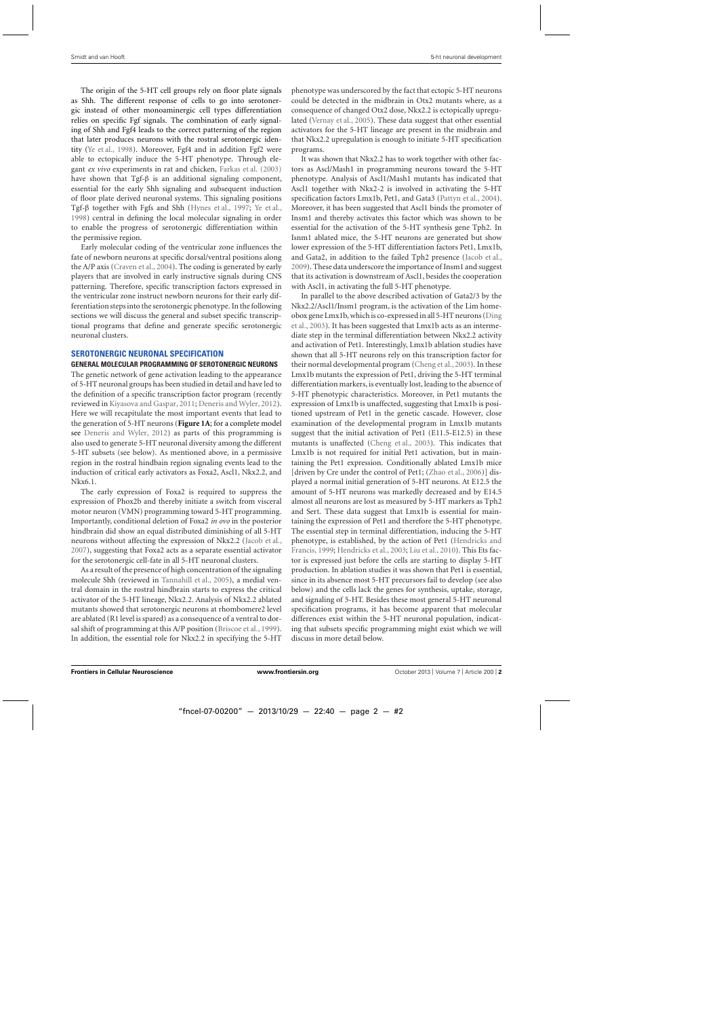The origin of the 5-HT cell groups rely on floor plate signals as Shh. The different response of cells to go into serotonergic instead of other monoaminergic cell types differentiation relies on specific Fgf signals. The combination of early signaling of Shh and Fgf4 leads to the correct patterning of the region that later produces neurons with the rostral serotonergic identity [\(Ye et al.](#page-7-0), [1998\)](#page-7-0). Moreover, Fgf4 and in addition Fgf2 were able to ectopically induce the 5-HT phenotype. Through elegant *ex vivo* experiments in rat and chicken, [Farkas et al.](#page-6-0) [\(2003\)](#page-6-0) have shown that Tgf-β is an additional signaling component, essential for the early Shh signaling and subsequent induction of floor plate derived neuronal systems. This signaling positions Tgf-β together with Fgfs and Shh [\(Hynes et al.](#page-6-0), [1997](#page-6-0); [Ye et al.](#page-7-0), [1998\)](#page-7-0) central in defining the local molecular signaling in order to enable the progress of serotonergic differentiation within the permissive region.

Early molecular coding of the ventricular zone influences the fate of newborn neurons at specific dorsal/ventral positions along the A/P axis [\(Craven et al., 2004\)](#page-6-0). The coding is generated by early players that are involved in early instructive signals during CNS patterning. Therefore, specific transcription factors expressed in the ventricular zone instruct newborn neurons for their early differentiation steps into the serotonergic phenotype. In thefollowing sections we will discuss the general and subset specific transcriptional programs that define and generate specific serotonergic neuronal clusters.

## **SEROTONERGIC NEURONAL SPECIFICATION**

**GENERAL MOLECULAR PROGRAMMING OF SEROTONERGIC NEURONS** The genetic network of gene activation leading to the appearance of 5-HT neuronal groups has been studied in detail and have led to the definition of a specific transcription factor program (recently reviewed in [Kiyasova and Gaspar, 2011;](#page-6-0) [Deneris and Wyler](#page-6-0), [2012](#page-6-0)). Here we will recapitulate the most important events that lead to the generation of 5-HT neurons (**[Figure 1A](#page-3-0)**; for a complete model see [Deneris and Wyler](#page-6-0), [2012](#page-6-0)) as parts of this programming is also used to generate 5-HT neuronal diversity among the different 5-HT subsets (see below). As mentioned above, in a permissive region in the rostral hindbain region signaling events lead to the induction of critical early activators as Foxa2, Ascl1, Nkx2.2, and Nkx6.1.

The early expression of Foxa2 is required to suppress the expression of Phox2b and thereby initiate a switch from visceral motor neuron (VMN) programming toward 5-HT programming. Importantly, conditional deletion of Foxa2 *in ovo* in the posterior hindbrain did show an equal distributed diminishing of all 5-HT neurons without affecting the expression of Nkx2.2 [\(Jacob et al.](#page-6-0), [2007\)](#page-6-0), suggesting that Foxa2 acts as a separate essential activator for the serotonergic cell-fate in all 5-HT neuronal clusters.

As a result of the presence of high concentration of the signaling molecule Shh (reviewed in [Tannahill et al.](#page-7-0), [2005\)](#page-7-0), a medial ventral domain in the rostral hindbrain starts to express the critical activator of the 5-HT lineage, Nkx2.2. Analysis of Nkx2.2 ablated mutants showed that serotonergic neurons at rhombomere2 level are ablated (R1 level is spared) as a consequence of a ventral to dorsal shift of programming at this A/P position [\(Briscoe et al.](#page-6-0), [1999](#page-6-0)). In addition, the essential role for Nkx2.2 in specifying the 5-HT

phenotype was underscored by the fact that ectopic 5-HT neurons could be detected in the midbrain in Otx2 mutants where, as a consequence of changed Otx2 dose, Nkx2.2 is ectopically upregulated [\(Vernay et al.](#page-7-0), [2005](#page-7-0)). These data suggest that other essential activators for the 5-HT lineage are present in the midbrain and that Nkx2.2 upregulation is enough to initiate 5-HT specification programs.

It was shown that Nkx2.2 has to work together with other factors as Ascl/Mash1 in programming neurons toward the 5-HT phenotype. Analysis of Ascl1/Mash1 mutants has indicated that Ascl1 together with Nkx2-2 is involved in activating the 5-HT specification factors Lmx1b, Pet1, and Gata3 [\(Pattyn et al., 2004](#page-6-0)). Moreover, it has been suggested that Ascl1 binds the promoter of Insm1 and thereby activates this factor which was shown to be essential for the activation of the 5-HT synthesis gene Tph2. In Isnm1 ablated mice, the 5-HT neurons are generated but show lower expression of the 5-HT differentiation factors Pet1, Lmx1b, and Gata2, in addition to the failed Tph2 presence [\(Jacob et al.](#page-6-0), [2009\)](#page-6-0). These data underscore the importance of Insm1 and suggest that its activation is downstream of Ascl1, besides the cooperation with Ascl1, in activating the full 5-HT phenotype.

In parallel to the above described activation of Gata2/3 by the Nkx2.2/Ascl1/Insm1 program, is the activation of the Lim homeobo[x gene Lmx1b, which is co-expressed in all 5-HT neurons \(](#page-6-0)Ding et al., [2003](#page-6-0)). It has been suggested that Lmx1b acts as an intermediate step in the terminal differentiation between Nkx2.2 activity and activation of Pet1. Interestingly, Lmx1b ablation studies have shown that all 5-HT neurons rely on this transcription factor for their normal developmental program [\(Cheng et al., 2003](#page-6-0)). In these Lmx1b mutants the expression of Pet1, driving the 5-HT terminal differentiation markers, is eventually lost, leading to the absence of 5-HT phenotypic characteristics. Moreover, in Pet1 mutants the expression of Lmx1b is unaffected, suggesting that Lmx1b is positioned upstream of Pet1 in the genetic cascade. However, close examination of the developmental program in Lmx1b mutants suggest that the initial activation of Pet1 (E11.5-E12.5) in these mutants is unaffected [\(Cheng et al., 2003](#page-6-0)). This indicates that Lmx1b is not required for initial Pet1 activation, but in maintaining the Pet1 expression. Conditionally ablated Lmx1b mice [driven by Cre under the control of Pet1; [\(Zhao et al., 2006](#page-7-0))] displayed a normal initial generation of 5-HT neurons. At E12.5 the amount of 5-HT neurons was markedly decreased and by E14.5 almost all neurons are lost as measured by 5-HT markers as Tph2 and Sert. These data suggest that Lmx1b is essential for maintaining the expression of Pet1 and therefore the 5-HT phenotype. The essential step in terminal differentiation, inducing the 5-HT phenot[ype,](#page-6-0) [is](#page-6-0) [established,](#page-6-0) [by](#page-6-0) [the](#page-6-0) [action](#page-6-0) [of](#page-6-0) [Pet1](#page-6-0) [\(](#page-6-0)Hendricks and Francis, [1999;](#page-6-0) [Hendricks et al., 2003;](#page-6-0) [Liu et al., 2010\)](#page-6-0). This Ets factor is expressed just before the cells are starting to display 5-HT production. In ablation studies it was shown that Pet1 is essential, since in its absence most 5-HT precursors fail to develop (see also below) and the cells lack the genes for synthesis, uptake, storage, and signaling of 5-HT. Besides these most general 5-HT neuronal specification programs, it has become apparent that molecular differences exist within the 5-HT neuronal population, indicating that subsets specific programming might exist which we will discuss in more detail below.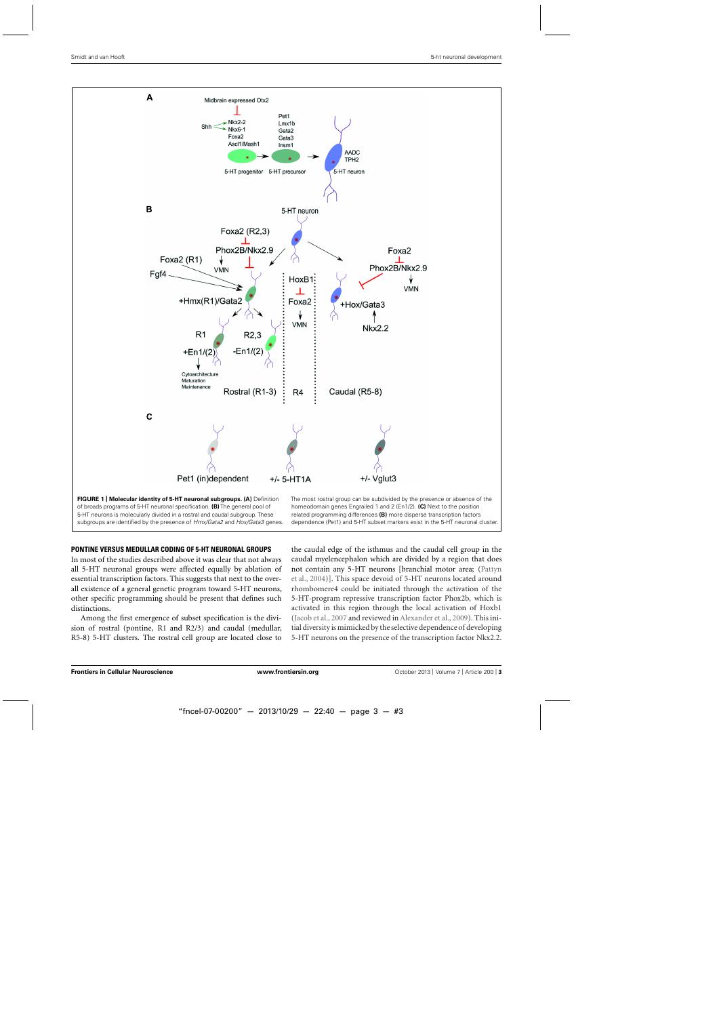<span id="page-3-0"></span>

### **PONTINE VERSUS MEDULLAR CODING OF 5-HT NEURONAL GROUPS**

In most of the studies described above it was clear that not always all 5-HT neuronal groups were affected equally by ablation of essential transcription factors. This suggests that next to the overall existence of a general genetic program toward 5-HT neurons, other specific programming should be present that defines such distinctions.

Among the first emergence of subset specification is the division of rostral (pontine, R1 and R2/3) and caudal (medullar, R5-8) 5-HT clusters. The rostral cell group are located close to the caudal edge of the isthmus and the caudal cell group in the caudal myelencephalon which are divided by a region that does not [contain any 5-HT neurons \[branchial motor area; \(](#page-6-0)Pattyn et al., [2004](#page-6-0))]. This space devoid of 5-HT neurons located around rhombomere4 could be initiated through the activation of the 5-HT-program repressive transcription factor Phox2b, which is activated in this region through the local activation of Hoxb1 [\(Jacob et al., 2007](#page-6-0) and reviewed in [Alexander et al.](#page-6-0), [2009](#page-6-0)). This initial diversity is mimicked by the selective dependence of developing 5-HT neurons on the presence of the transcription factor Nkx2.2.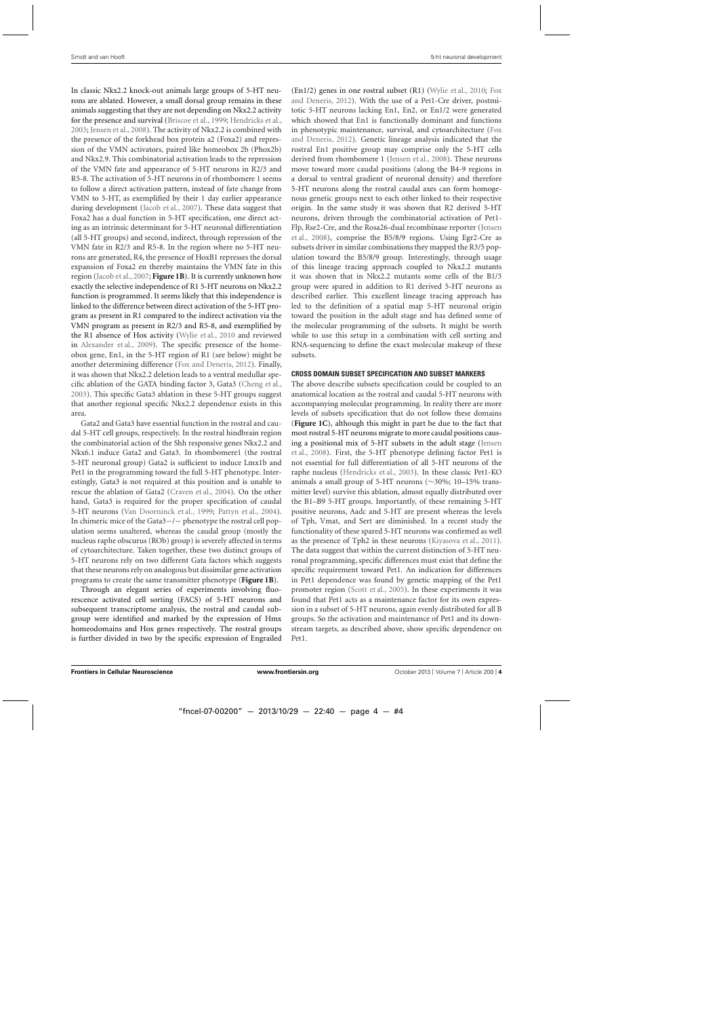In classic Nkx2.2 knock-out animals large groups of 5-HT neurons are ablated. However, a small dorsal group remains in these animals suggesting that they are not depending on Nkx2.2 activity for the presence and survival [\(Briscoe et al.](#page-6-0), [1999](#page-6-0); [Hendricks et al.](#page-6-0), [2003;](#page-6-0) [Jensen et al., 2008\)](#page-6-0). The activity of Nkx2.2 is combined with the presence of the forkhead box protein a2 (Foxa2) and repression of the VMN activators, paired like homeobox 2b (Phox2b) and Nkx2.9. This combinatorial activation leads to the repression of the VMN fate and appearance of 5-HT neurons in R2/3 and R5-8. The activation of 5-HT neurons in of rhombomere 1 seems to follow a direct activation pattern, instead of fate change from VMN to 5-HT, as exemplified by their 1 day earlier appearance during development [\(Jacob et al., 2007\)](#page-6-0). These data suggest that Foxa2 has a dual function in 5-HT specification, one direct acting as an intrinsic determinant for 5-HT neuronal differentiation (all 5-HT groups) and second, indirect, through repression of the VMN fate in R2/3 and R5-8. In the region where no 5-HT neurons are generated, R4, the presence of HoxB1 represses the dorsal expansion of Foxa2 en thereby maintains the VMN fate in this region [\(Jacob et al., 2007;](#page-6-0) **[Figure 1B](#page-3-0)**). It is currently unknown how exactly the selective independence of R1 5-HT neurons on Nkx2.2 function is programmed. It seems likely that this independence is linked to the difference between direct activation of the 5-HT program as present in R1 compared to the indirect activation via the VMN program as present in R2/3 and R5-8, and exemplified by the R1 absence of Hox activity [\(Wylie et al.](#page-7-0), [2010](#page-7-0) and reviewed in [Alexander et al., 2009\)](#page-6-0). The specific presence of the homeobox gene, En1, in the 5-HT region of R1 (see below) might be another determining difference [\(Fox and Deneris](#page-6-0), [2012](#page-6-0)). Finally, it was shown that Nkx2.2 deletion leads to a ventral medullar specific ablation of the GATA binding factor 3, Gata3 [\(Cheng et al.](#page-6-0), [2003\)](#page-6-0). This specific Gata3 ablation in these 5-HT groups suggest that another regional specific Nkx2.2 dependence exists in this area.

Gata2 and Gata3 have essential function in the rostral and caudal 5-HT cell groups, respectively. In the rostral hindbrain region the combinatorial action of the Shh responsive genes Nkx2.2 and Nkx6.1 induce Gata2 and Gata3. In rhombomere1 (the rostral 5-HT neuronal group) Gata2 is sufficient to induce Lmx1b and Pet1 in the programming toward the full 5-HT phenotype. Interestingly, Gata3 is not required at this position and is unable to rescue the ablation of Gata2 [\(Craven et al., 2004](#page-6-0)). On the other hand, Gata3 is required for the proper specification of caudal 5-HT neurons [\(Van Doorninck et al., 1999](#page-7-0); [Pattyn et al., 2004](#page-6-0)). In chimeric mice of the Gata3−/− phenotype the rostral cell population seems unaltered, whereas the caudal group (mostly the nucleus raphe obscurus (ROb) group) is severely affected in terms of cytoarchitecture. Taken together, these two distinct groups of 5-HT neurons rely on two different Gata factors which suggests that these neurons rely on analogous but dissimilar gene activation programs to create the same transmitter phenotype (**[Figure 1B](#page-3-0)**).

Through an elegant series of experiments involving fluorescence activated cell sorting (FACS) of 5-HT neurons and subsequent transcriptome analysis, the rostral and caudal subgroup were identified and marked by the expression of Hmx homeodomains and Hox genes respectively. The rostral groups is further divided in two by the specific expression of Engrailed (En1/2) gen[es](#page-6-0) [in](#page-6-0) [one](#page-6-0) [rostral](#page-6-0) [subset](#page-6-0) [\(R1\)](#page-6-0) [\(Wylie et al.](#page-7-0)[,](#page-6-0) [2010;](#page-7-0) Fox and Deneris, [2012\)](#page-6-0). With the use of a Pet1-Cre driver, postmitotic 5-HT neurons lacking En1, En2, or En1/2 were generated which showed that En1 is functionally dominant and functions in phenotypic maintenance, survival, and cytoarchitecture (Fox and Deneris, [2012\)](#page-6-0). Genetic lineage analysis indicated that the rostral En1 positive group may comprise only the 5-HT cells derived from rhombomere 1 [\(Jensen et al.](#page-6-0), [2008\)](#page-6-0). These neurons move toward more caudal positions (along the B4-9 regions in a dorsal to ventral gradient of neuronal density) and therefore 5-HT neurons along the rostral caudal axes can form homogenous genetic groups next to each other linked to their respective origin. In the same study it was shown that R2 derived 5-HT neurons, driven through the combinatorial activation of Pet1- Flp, [Rse2-Cre, and the Rosa26-dual recombinase reporter \(](#page-6-0)Jensen et al., [2008](#page-6-0)), comprise the B5/8/9 regions. Using Egr2-Cre as subsets driver in similar combinations they mapped the R3/5 population toward the B5/8/9 group. Interestingly, through usage of this lineage tracing approach coupled to Nkx2.2 mutants it was shown that in Nkx2.2 mutants some cells of the B1/3 group were spared in addition to R1 derived 5-HT neurons as described earlier. This excellent lineage tracing approach has led to the definition of a spatial map 5-HT neuronal origin toward the position in the adult stage and has defined some of the molecular programming of the subsets. It might be worth while to use this setup in a combination with cell sorting and RNA-sequencing to define the exact molecular makeup of these subsets.

#### **CROSS DOMAIN SUBSET SPECIFICATION AND SUBSET MARKERS**

The above describe subsets specification could be coupled to an anatomical location as the rostral and caudal 5-HT neurons with accompanying molecular programming. In reality there are more levels of subsets specification that do not follow these domains (**[Figure 1C](#page-3-0)**), although this might in part be due to the fact that most rostral 5-HT neurons migrate to more caudal positions causing [a positional mix of 5-HT subsets in the adult stage \(](#page-6-0)Jensen et al., [2008\)](#page-6-0). First, the 5-HT phenotype defining factor Pet1 is not essential for full differentiation of all 5-HT neurons of the raphe nucleus [\(Hendricks et al., 2003](#page-6-0)). In these classic Pet1-KO animals a small group of 5-HT neurons (∼30%; 10–15% transmitter level) survive this ablation, almost equally distributed over the B1–B9 5-HT groups. Importantly, of these remaining 5-HT positive neurons, Aadc and 5-HT are present whereas the levels of Tph, Vmat, and Sert are diminished. In a recent study the functionality of these spared 5-HT neurons was confirmed as well as the presence of Tph2 in these neurons [\(Kiyasova et al.](#page-6-0), [2011](#page-6-0)). The data suggest that within the current distinction of 5-HT neuronal programming, specific differences must exist that define the specific requirement toward Pet1. An indication for differences in Pet1 dependence was found by genetic mapping of the Pet1 promoter region [\(Scott et al., 2005\)](#page-6-0). In these experiments it was found that Pet1 acts as a maintenance factor for its own expression in a subset of 5-HT neurons, again evenly distributed for all B groups. So the activation and maintenance of Pet1 and its downstream targets, as described above, show specific dependence on Pet1.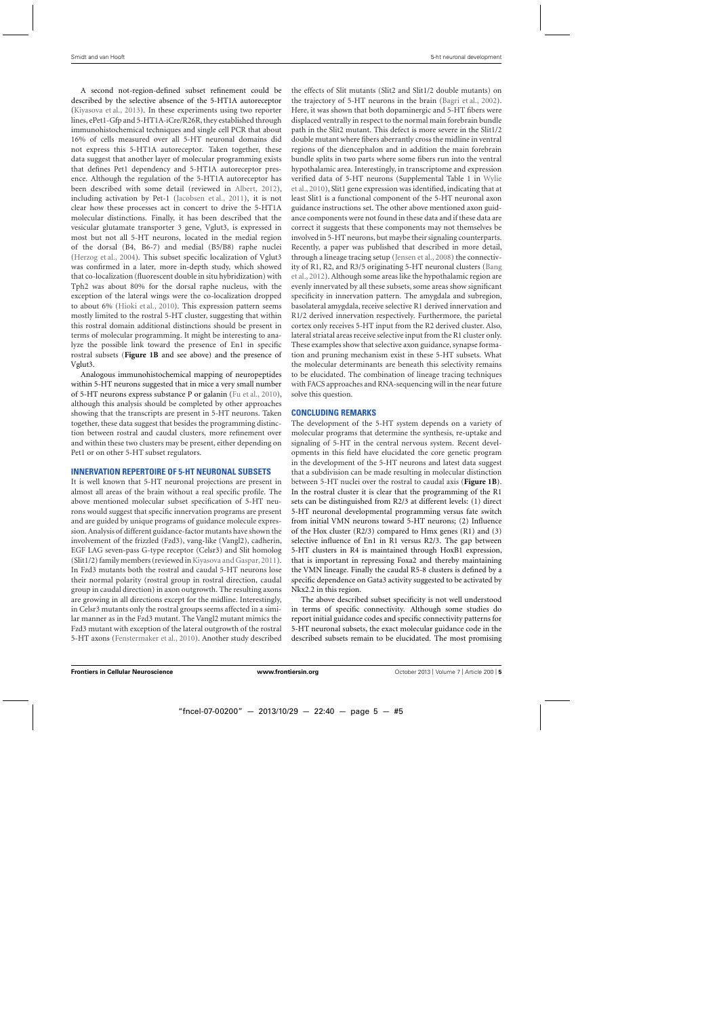A second not-region-defined subset refinement could be described by the selective absence of the 5-HT1A autoreceptor [\(Kiyasova et al., 2013](#page-6-0)). In these experiments using two reporter lines, ePet1-Gfp and 5-HT1A-iCre/R26R, they established through immunohistochemical techniques and single cell PCR that about 16% of cells measured over all 5-HT neuronal domains did not express this 5-HT1A autoreceptor. Taken together, these data suggest that another layer of molecular programming exists that defines Pet1 dependency and 5-HT1A autoreceptor presence. Although the regulation of the 5-HT1A autoreceptor has been described with some detail (reviewed in [Albert](#page-6-0), [2012\)](#page-6-0), including activation by Pet-1 [\(Jacobsen et al., 2011](#page-6-0)), it is not clear how these processes act in concert to drive the 5-HT1A molecular distinctions. Finally, it has been described that the vesicular glutamate transporter 3 gene, Vglut3, is expressed in most but not all 5-HT neurons, located in the medial region of the dorsal (B4, B6-7) and medial (B5/B8) raphe nuclei [\(Herzog et al.](#page-6-0), [2004\)](#page-6-0). This subset specific localization of Vglut3 was confirmed in a later, more in-depth study, which showed that co-localization (fluorescent double in situ hybridization) with Tph2 was about 80% for the dorsal raphe nucleus, with the exception of the lateral wings were the co-localization dropped to about 6% [\(Hioki et al., 2010](#page-6-0)). This expression pattern seems mostly limited to the rostral 5-HT cluster, suggesting that within this rostral domain additional distinctions should be present in terms of molecular programming. It might be interesting to analyze the possible link toward the presence of En1 in specific rostral subsets (**[Figure 1B](#page-3-0)** and see above) and the presence of Vglut3.

Analogous immunohistochemical mapping of neuropeptides within 5-HT neurons suggested that in mice a very small number of 5-HT neurons express substance P or galanin [\(Fu et al., 2010\)](#page-6-0), although this analysis should be completed by other approaches showing that the transcripts are present in 5-HT neurons. Taken together, these data suggest that besides the programming distinction between rostral and caudal clusters, more refinement over and within these two clusters may be present, either depending on Pet1 or on other 5-HT subset regulators.

#### **INNERVATION REPERTOIRE OF 5-HT NEURONAL SUBSETS**

It is well known that 5-HT neuronal projections are present in almost all areas of the brain without a real specific profile. The above mentioned molecular subset specification of 5-HT neurons would suggest that specific innervation programs are present and are guided by unique programs of guidance molecule expression. Analysis of different guidance-factor mutants have shown the involvement of the frizzled (Fzd3), vang-like (Vangl2), cadherin, EGF LAG seven-pass G-type receptor (Celsr3) and Slit homolog (Slit1/2) family members (reviewed in Kiyasova and Gaspar, 2011). In Fzd3 mutants both the rostral and caudal 5-HT neurons lose their normal polarity (rostral group in rostral direction, caudal group in caudal direction) in axon outgrowth. The resulting axons are growing in all directions except for the midline. Interestingly, in Celsr3 mutants only the rostral groups seems affected in a similar manner as in the Fzd3 mutant. The Vangl2 mutant mimics the Fzd3 mutant with exception of the lateral outgrowth of the rostral 5-HT axons [\(Fenstermaker et al., 2010](#page-6-0)). Another study described the effects of Slit mutants (Slit2 and Slit1/2 double mutants) on the trajectory of 5-HT neurons in the brain [\(Bagri et al., 2002](#page-6-0)). Here, it was shown that both dopaminergic and 5-HT fibers were displaced ventrally in respect to the normal main forebrain bundle path in the Slit2 mutant. This defect is more severe in the Slit1/2 double mutant where fibers aberrantly cross the midline in ventral regions of the diencephalon and in addition the main forebrain bundle splits in two parts where some fibers run into the ventral hypothalamic area. Interestingly, in transcriptome and expression veri[fied data of 5-HT neurons \(Supplemental Table 1 in](#page-7-0) Wylie et al., [2010\)](#page-7-0), Slit1 gene expression was identified, indicating that at least Slit1 is a functional component of the 5-HT neuronal axon guidance instructions set. The other above mentioned axon guidance components were not found in these data and if these data are correct it suggests that these components may not themselves be involved in 5-HT neurons, but maybe their signaling counterparts. Recently, a paper was published that described in more detail, through a lineage tracing setup [\(Jensen et al., 2008\)](#page-6-0) the connectivity o[f R1, R2, and R3/5 originating 5-HT neuronal clusters \(](#page-6-0)Bang et al., [2012\)](#page-6-0). Although some areas like the hypothalamic region are evenly innervated by all these subsets, some areas show significant specificity in innervation pattern. The amygdala and subregion, basolateral amygdala, receive selective R1 derived innervation and R1/2 derived innervation respectively. Furthermore, the parietal cortex only receives 5-HT input from the R2 derived cluster. Also, lateral striatal areas receive selective input from the R1 cluster only. These examples show that selective axon guidance, synapse formation and pruning mechanism exist in these 5-HT subsets. What the molecular determinants are beneath this selectivity remains to be elucidated. The combination of lineage tracing techniques with FACS approaches and RNA-sequencing will in the near future solve this question.

### **CONCLUDING REMARKS**

The development of the 5-HT system depends on a variety of molecular programs that determine the synthesis, re-uptake and signaling of 5-HT in the central nervous system. Recent developments in this field have elucidated the core genetic program in the development of the 5-HT neurons and latest data suggest that a subdivision can be made resulting in molecular distinction between 5-HT nuclei over the rostral to caudal axis (**[Figure 1B](#page-3-0)**). In the rostral cluster it is clear that the programming of the R1 sets can be distinguished from R2/3 at different levels: (1) direct 5-HT neuronal developmental programming versus fate switch from initial VMN neurons toward 5-HT neurons; (2) Influence of the Hox cluster (R2/3) compared to Hmx genes (R1) and (3) selective influence of En1 in R1 versus R2/3. The gap between 5-HT clusters in R4 is maintained through HoxB1 expression, that is important in repressing Foxa2 and thereby maintaining the VMN lineage. Finally the caudal R5-8 clusters is defined by a specific dependence on Gata3 activity suggested to be activated by Nkx2.2 in this region.

The above described subset specificity is not well understood in terms of specific connectivity. Although some studies do report initial guidance codes and specific connectivity patterns for 5-HT neuronal subsets, the exact molecular guidance code in the described subsets remain to be elucidated. The most promising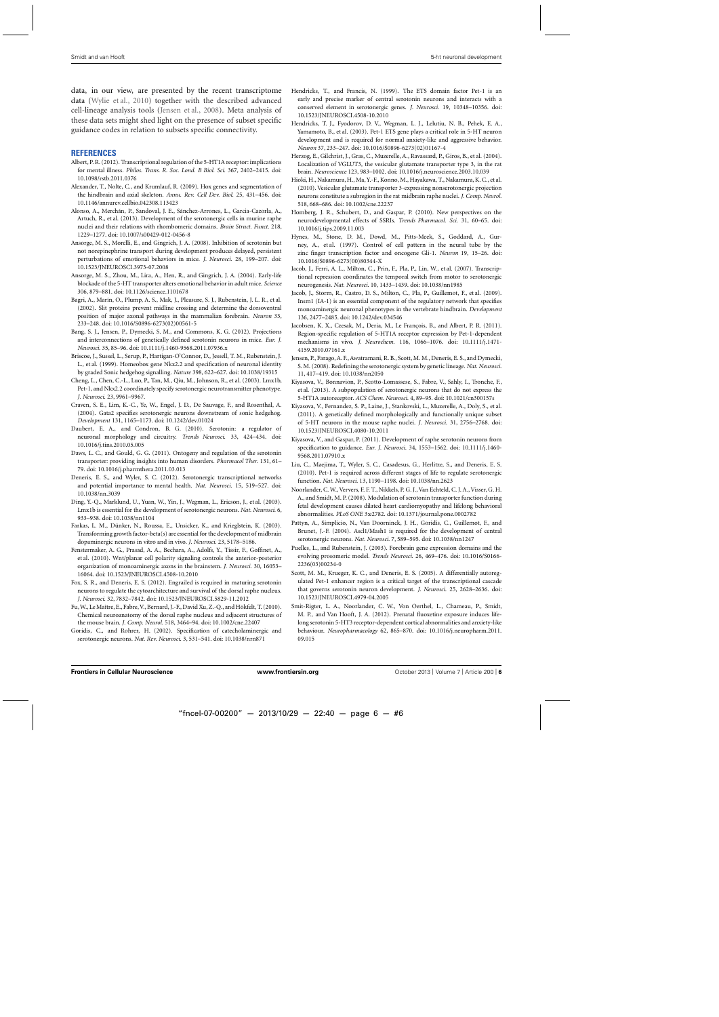<span id="page-6-0"></span>data, in our view, are presented by the recent transcriptome data [\(Wylie et al., 2010](#page-7-0)) together with the described advanced cell-lineage analysis tools (Jensen et al., 2008). Meta analysis of these data sets might shed light on the presence of subset specific guidance codes in relation to subsets specific connectivity.

#### **REFERENCES**

- Albert, P. R. (2012). Transcriptional regulation of the 5-HT1A receptor: implications for mental illness. *Philos. Trans. R. Soc. Lond. B Biol. Sci*. 367, 2402–2415. doi: 10.1098/rstb.2011.0376
- Alexander, T., Nolte, C., and Krumlauf, R. (2009). Hox genes and segmentation of the hindbrain and axial skeleton. *Annu. Rev. Cell Dev. Biol*. 25, 431–456. doi: 10.1146/annurev.cellbio.042308.113423
- Alonso, A., Merchán, P., Sandoval, J. E., Sánchez-Arrones, L., Garcia-Cazorla, A., Artuch, R., et al. (2013). Development of the serotonergic cells in murine raphe nuclei and their relations with rhombomeric domains. *Brain Struct. Funct*. 218, 1229–1277. doi: 10.1007/s00429-012-0456-8
- Ansorge, M. S., Morelli, E., and Gingrich, J. A. (2008). Inhibition of serotonin but not norepinephrine transport during development produces delayed, persistent perturbations of emotional behaviors in mice. *J. Neurosci*. 28, 199–207. doi: 10.1523/JNEUROSCI.3973-07.2008
- Ansorge, M. S., Zhou, M., Lira, A., Hen, R., and Gingrich, J. A. (2004). Early-life blockade of the 5-HT transporter alters emotional behavior in adult mice. *Science* 306, 879–881. doi: 10.1126/science.1101678
- Bagri, A., Marín, O., Plump, A. S., Mak, J., Pleasure, S. J., Rubenstein, J. L. R., et al. (2002). Slit proteins prevent midline crossing and determine the dorsoventral position of major axonal pathways in the mammalian forebrain. *Neuron* 33, 233–248. doi: 10.1016/S0896-6273(02)00561-5
- Bang, S. J., Jensen, P., Dymecki, S. M., and Commons, K. G. (2012). Projections and interconnections of genetically defined serotonin neurons in mice. *Eur. J. Neurosci*. 35, 85–96. doi: 10.1111/j.1460-9568.2011.07936.x
- Briscoe, J., Sussel, L., Serup, P., Hartigan-O'Connor, D., Jessell, T. M., Rubenstein, J. L., et al. (1999). Homeobox gene Nkx2.2 and specification of neuronal identity by graded Sonic hedgehog signalling. *Nature* 398, 622–627. doi: 10.1038/19315
- Cheng, L., Chen, C.-L., Luo, P., Tan, M., Qiu, M., Johnson, R., et al. (2003). Lmx1b, Pet-1, and Nkx2.2 coordinately specify serotonergic neurotransmitter phenotype. *J. Neurosci*. 23, 9961–9967.
- Craven, S. E., Lim, K.-C., Ye, W., Engel, J. D., De Sauvage, F., and Rosenthal, A. (2004). Gata2 specifies serotonergic neurons downstream of sonic hedgehog. *Development* 131, 1165–1173. doi: 10.1242/dev.01024
- Daubert, E. A., and Condron, B. G. (2010). Serotonin: a regulator of neuronal morphology and circuitry. *Trends Neurosci*. 33, 424–434. doi: 10.1016/j.tins.2010.05.005
- Daws, L. C., and Gould, G. G. (2011). Ontogeny and regulation of the serotonin transporter: providing insights into human disorders. *Pharmacol Ther*. 131, 61– 79. doi: 10.1016/j.pharmthera.2011.03.013
- Deneris, E. S., and Wyler, S. C. (2012). Serotonergic transcriptional networks and potential importance to mental health. *Nat. Neurosci*. 15, 519–527. doi: 10.1038/nn.3039
- Ding, Y.-Q., Marklund, U., Yuan, W., Yin, J., Wegman, L., Ericson, J., et al. (2003). Lmx1b is essential for the development of serotonergic neurons. *Nat. Neurosci*. 6, 933–938. doi: 10.1038/nn1104
- Farkas, L. M., Dünker, N., Roussa, E., Unsicker, K., and Krieglstein, K. (2003). Transforming growth factor-beta(s) are essential for the development of midbrain dopaminergic neurons in vitro and in vivo. *J. Neurosci.* 23, 5178–5186.
- Fenstermaker, A. G., Prasad, A. A., Bechara, A., Adolfs, Y., Tissir, F., Goffinet, A., et al. (2010). Wnt/planar cell polarity signaling controls the anterior-posterior organization of monoaminergic axons in the brainstem. *J. Neurosci*. 30, 16053– 16064. doi: 10.1523/JNEUROSCI.4508-10.2010
- Fox, S. R., and Deneris, E. S. (2012). Engrailed is required in maturing serotonin neurons to regulate the cytoarchitecture and survival of the dorsal raphe nucleus. *J. Neurosci*. 32, 7832–7842. doi: 10.1523/JNEUROSCI.5829-11.2012
- Fu,W., LeMaître, E., Fabre,V., Bernard, J.-F., David Xu, Z.-Q., and Hökfelt, T. (2010). Chemical neuroanatomy of the dorsal raphe nucleus and adjacent structures of the mouse brain. *J. Comp. Neurol.* 518, 3464–94. doi: 10.1002/cne.22407
- Goridis, C., and Rohrer, H. (2002). Specification of catecholaminergic and serotonergic neurons. *Nat. Rev. Neurosci*. 3, 531–541. doi: 10.1038/nrn871
- Hendricks, T., and Francis, N. (1999). The ETS domain factor Pet-1 is an early and precise marker of central serotonin neurons and interacts with a conserved element in serotonergic genes. *J. Neurosci*. 19, 10348–10356. doi: 10.1523/JNEUROSCI.4508-10.2010
- Hendricks, T. J., Fyodorov, D. V., Wegman, L. J., Lelutiu, N. B., Pehek, E. A., Yamamoto, B., et al. (2003). Pet-1 ETS gene plays a critical role in 5-HT neuron development and is required for normal anxiety-like and aggressive behavior. *Neuron* 37, 233–247. doi: 10.1016/S0896-6273(02)01167-4
- Herzog, E., Gilchrist, J., Gras, C., Muzerelle, A., Ravassard, P., Giros, B., et al. (2004). Localization of VGLUT3, the vesicular glutamate transporter type 3, in the rat brain. *Neuroscience* 123, 983–1002. doi: 10.1016/j.neuroscience.2003.10.039
- Hioki, H., Nakamura, H., Ma, Y.-F., Konno, M., Hayakawa, T., Nakamura, K. C., et al. (2010). Vesicular glutamate transporter 3-expressing nonserotonergic projection neurons constitute a subregion in the rat midbrain raphe nuclei. *J. Comp. Neurol.* 518, 668–686. doi: 10.1002/cne.22237
- Homberg, J. R., Schubert, D., and Gaspar, P. (2010). New perspectives on the neurodevelopmental effects of SSRIs. *Trends Pharmacol. Sci*. 31, 60–65. doi: 10.1016/j.tips.2009.11.003
- Hynes, M., Stone, D. M., Dowd, M., Pitts-Meek, S., Goddard, A., Gurney, A., et al. (1997). Control of cell pattern in the neural tube by the zinc finger transcription factor and oncogene Gli-1. *Neuron* 19, 15–26. doi: 10.1016/S0896-6273(00)80344-X
- Jacob, J., Ferri, A. L., Milton, C., Prin, F., Pla, P., Lin, W., et al. (2007). Transcriptional repression coordinates the temporal switch from motor to serotonergic neurogenesis. *Nat. Neurosci*. 10, 1433–1439. doi: 10.1038/nn1985
- Jacob, J., Storm, R., Castro, D. S., Milton, C., Pla, P., Guillemot, F., et al. (2009). Insm1 (IA-1) is an essential component of the regulatory network that specifies monoaminergic neuronal phenotypes in the vertebrate hindbrain. *Development* 136, 2477–2485. doi: 10.1242/dev.034546
- Jacobsen, K. X., Czesak, M., Deria, M., Le François, B., and Albert, P. R. (2011). Region-specific regulation of 5-HT1A receptor expression by Pet-1-dependent mechanisms in vivo. *J. Neurochem.* 116, 1066–1076. doi: 10.1111/j.1471- 4159.2010.07161.x
- Jensen, P., Farago, A. F., Awatramani, R. B., Scott, M. M., Deneris, E. S., and Dymecki, S. M. (2008). Redefining the serotonergic system by genetic lineage. *Nat. Neurosci*. 11, 417–419. doi: 10.1038/nn2050
- Kiyasova, V., Bonnavion, P., Scotto-Lomassese, S., Fabre, V., Sahly, I., Tronche, F., et al. (2013). A subpopulation of serotonergic neurons that do not express the 5-HT1A autoreceptor. *ACS Chem. Neurosci*. 4, 89–95. doi: 10.1021/cn300157s
- Kiyasova, V., Fernandez, S. P., Laine, J., Stankovski, L., Muzerelle, A., Doly, S., et al. (2011). A genetically defined morphologically and functionally unique subset of 5-HT neurons in the mouse raphe nuclei. *J. Neurosci*. 31, 2756–2768. doi: 10.1523/JNEUROSCI.4080-10.2011
- Kiyasova, V., and Gaspar, P. (2011). Development of raphe serotonin neurons from specification to guidance. *Eur. J. Neurosci*. 34, 1553–1562. doi: 10.1111/j.1460- 9568.2011.07910.x
- Liu, C., Maejima, T., Wyler, S. C., Casadesus, G., Herlitze, S., and Deneris, E. S. (2010). Pet-1 is required across different stages of life to regulate serotonergic function. *Nat. Neurosci*. 13, 1190–1198. doi: 10.1038/nn.2623
- Noorlander, C. W.,Ververs, F. F. T., Nikkels, P. G. J.,Van Echteld, C. J. A.,Visser, G. H. A., and Smidt, M. P. (2008). Modulation of serotonin transporter function during fetal development causes dilated heart cardiomyopathy and lifelong behavioral abnormalities. *PLoS ONE* 3:e2782. doi: 10.1371/journal.pone.0002782
- Pattyn, A., Simplicio, N., Van Doorninck, J. H., Goridis, C., Guillemot, F., and Brunet, J.-F. (2004). Ascl1/Mash1 is required for the development of central serotonergic neurons. *Nat. Neurosci*. 7, 589–595. doi: 10.1038/nn1247
- Puelles, L., and Rubenstein, J. (2003). Forebrain gene expression domains and the evolving prosomeric model. *Trends Neurosci*. 26, 469–476. doi: 10.1016/S0166- 2236(03)00234-0
- Scott, M. M., Krueger, K. C., and Deneris, E. S. (2005). A differentially autoregulated Pet-1 enhancer region is a critical target of the transcriptional cascade that governs serotonin neuron development. *J. Neurosci*. 25, 2628–2636. doi: 10.1523/JNEUROSCI.4979-04.2005
- Smit-Rigter, L. A., Noorlander, C. W., Von Oerthel, L., Chameau, P., Smidt, M. P., and Van Hooft, J. A. (2012). Prenatal fluoxetine exposure induces lifelong serotonin 5-HT3 receptor-dependent cortical abnormalities and anxiety-like behaviour. *Neuropharmacology* 62, 865–870. doi: 10.1016/j.neuropharm.2011. 09.015